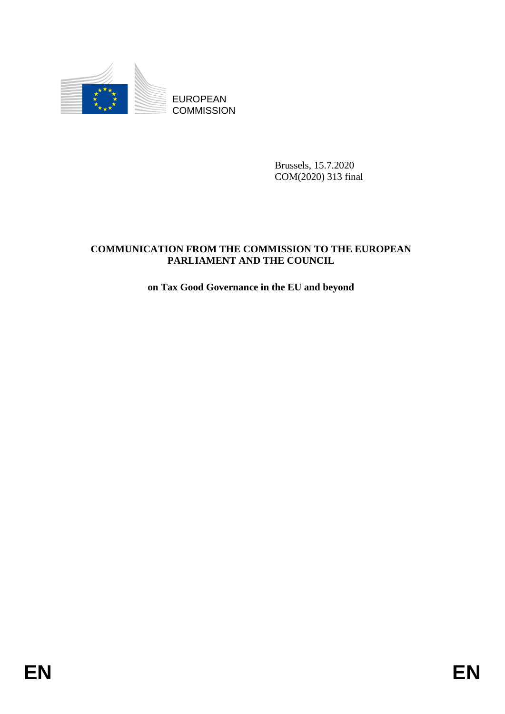

Brussels, 15.7.2020 COM(2020) 313 final

# EUROPEAN<br>
EUROPEAN<br>
ENERGY AND THE COMMISSION TO THE EUROPEAN<br>
COMMUNICATION FROM THE COMMISSION TO THE EUROPEAN<br>
PARTA MENT AND THE COUNCIL<br>
on The Good Governance in the EU and beyond<br> **ENERGY AND THE COUNCIL COMMUNICATION FROM THE COMMISSION TO THE EUROPEAN PARLIAMENT AND THE COUNCIL**

# **on Tax Good Governance in the EU and beyond**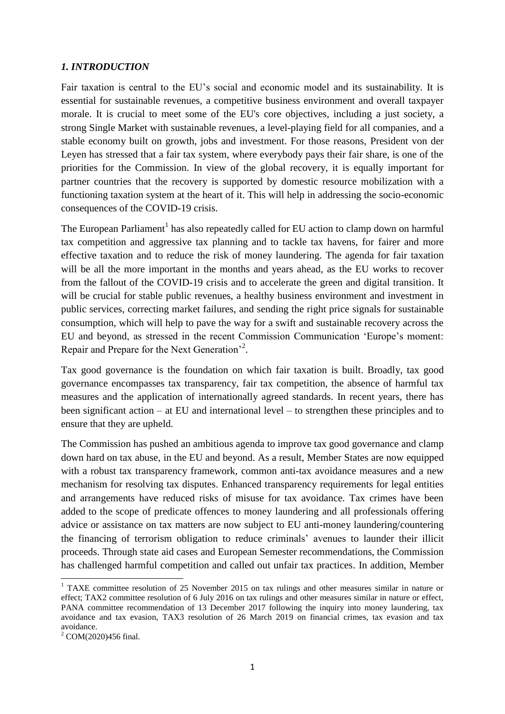### *1. INTRODUCTION*

Fair taxation is central to the EU's social and economic model and its sustainability. It is essential for sustainable revenues, a competitive business environment and overall taxpayer morale. It is crucial to meet some of the EU's core objectives, including a just society, a strong Single Market with sustainable revenues, a level-playing field for all companies, and a stable economy built on growth, jobs and investment. For those reasons, President von der Leyen has stressed that a fair tax system, where everybody pays their fair share, is one of the priorities for the Commission. In view of the global recovery, it is equally important for partner countries that the recovery is supported by domestic resource mobilization with a functioning taxation system at the heart of it. This will help in addressing the socio-economic consequences of the COVID-19 crisis.

The European Parliament<sup>1</sup> has also repeatedly called for EU action to clamp down on harmful tax competition and aggressive tax planning and to tackle tax havens, for fairer and more effective taxation and to reduce the risk of money laundering. The agenda for fair taxation will be all the more important in the months and years ahead, as the EU works to recover from the fallout of the COVID-19 crisis and to accelerate the green and digital transition. It will be crucial for stable public revenues, a healthy business environment and investment in public services, correcting market failures, and sending the right price signals for sustainable consumption, which will help to pave the way for a swift and sustainable recovery across the EU and beyond, as stressed in the recent Commission Communication 'Europe's moment: Repair and Prepare for the Next Generation<sup>2</sup>.

Tax good governance is the foundation on which fair taxation is built. Broadly, tax good governance encompasses tax transparency, fair tax competition, the absence of harmful tax measures and the application of internationally agreed standards. In recent years, there has been significant action – at EU and international level – to strengthen these principles and to ensure that they are upheld.

The Commission has pushed an ambitious agenda to improve tax good governance and clamp down hard on tax abuse, in the EU and beyond. As a result, Member States are now equipped with a robust tax transparency framework, common anti-tax avoidance measures and a new mechanism for resolving tax disputes. Enhanced transparency requirements for legal entities and arrangements have reduced risks of misuse for tax avoidance. Tax crimes have been added to the scope of predicate offences to money laundering and all professionals offering advice or assistance on tax matters are now subject to EU anti-money laundering/countering the financing of terrorism obligation to reduce criminals' avenues to launder their illicit proceeds. Through state aid cases and European Semester recommendations, the Commission has challenged harmful competition and called out unfair tax practices. In addition, Member

 $\overline{a}$ 

<sup>&</sup>lt;sup>1</sup> TAXE committee resolution of 25 November 2015 on tax rulings and other measures similar in nature or effect; TAX2 committee resolution of 6 July 2016 on tax rulings and other measures similar in nature or effect, PANA committee recommendation of 13 December 2017 following the inquiry into money laundering, tax avoidance and tax evasion, TAX3 resolution of 26 March 2019 on financial crimes, tax evasion and tax avoidance.

<sup>2</sup> COM(2020)456 final.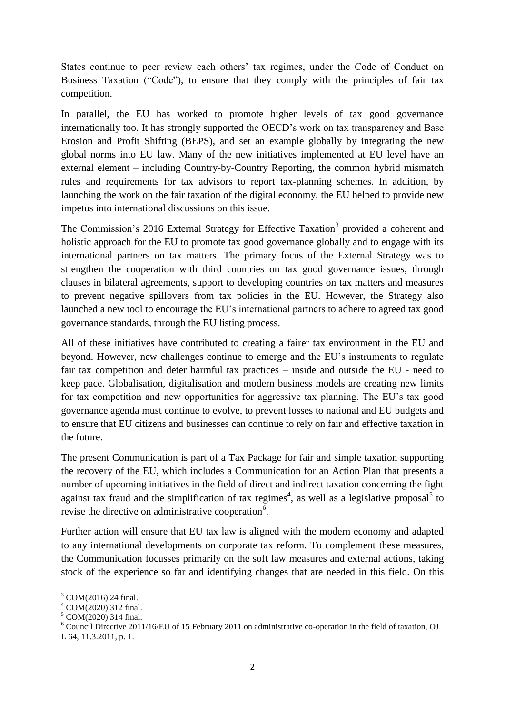States continue to peer review each others' tax regimes, under the Code of Conduct on Business Taxation ("Code"), to ensure that they comply with the principles of fair tax competition.

In parallel, the EU has worked to promote higher levels of tax good governance internationally too. It has strongly supported the OECD's work on tax transparency and Base Erosion and Profit Shifting (BEPS), and set an example globally by integrating the new global norms into EU law. Many of the new initiatives implemented at EU level have an external element – including Country-by-Country Reporting, the common hybrid mismatch rules and requirements for tax advisors to report tax-planning schemes. In addition, by launching the work on the fair taxation of the digital economy, the EU helped to provide new impetus into international discussions on this issue.

The Commission's 2016 External Strategy for Effective Taxation<sup>3</sup> provided a coherent and holistic approach for the EU to promote tax good governance globally and to engage with its international partners on tax matters. The primary focus of the External Strategy was to strengthen the cooperation with third countries on tax good governance issues, through clauses in bilateral agreements, support to developing countries on tax matters and measures to prevent negative spillovers from tax policies in the EU. However, the Strategy also launched a new tool to encourage the EU's international partners to adhere to agreed tax good governance standards, through the EU listing process.

All of these initiatives have contributed to creating a fairer tax environment in the EU and beyond. However, new challenges continue to emerge and the EU's instruments to regulate fair tax competition and deter harmful tax practices – inside and outside the EU - need to keep pace. Globalisation, digitalisation and modern business models are creating new limits for tax competition and new opportunities for aggressive tax planning. The EU's tax good governance agenda must continue to evolve, to prevent losses to national and EU budgets and to ensure that EU citizens and businesses can continue to rely on fair and effective taxation in the future.

The present Communication is part of a Tax Package for fair and simple taxation supporting the recovery of the EU, which includes a Communication for an Action Plan that presents a number of upcoming initiatives in the field of direct and indirect taxation concerning the fight against tax fraud and the simplification of tax regimes<sup>4</sup>, as well as a legislative proposal<sup>5</sup> to revise the directive on administrative cooperation<sup>6</sup>.

Further action will ensure that EU tax law is aligned with the modern economy and adapted to any international developments on corporate tax reform. To complement these measures, the Communication focusses primarily on the soft law measures and external actions, taking stock of the experience so far and identifying changes that are needed in this field. On this

1

<sup>3</sup> COM(2016) 24 final.

<sup>4</sup> COM(2020) 312 final.

<sup>&</sup>lt;sup>5</sup> COM(2020) 314 final.

 $6$  Council Directive 2011/16/EU of 15 February 2011 on administrative co-operation in the field of taxation, OJ L 64, 11.3.2011, p. 1.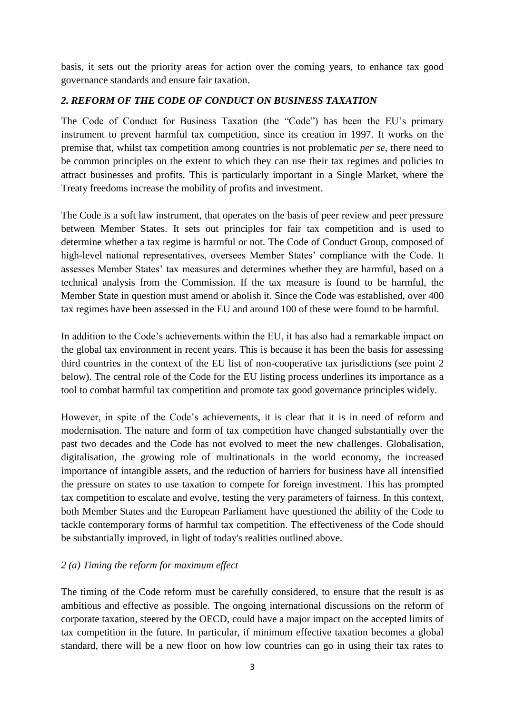basis, it sets out the priority areas for action over the coming years, to enhance tax good governance standards and ensure fair taxation.

# *2. REFORM OF THE CODE OF CONDUCT ON BUSINESS TAXATION*

The Code of Conduct for Business Taxation (the "Code") has been the EU's primary instrument to prevent harmful tax competition, since its creation in 1997. It works on the premise that, whilst tax competition among countries is not problematic *per se*, there need to be common principles on the extent to which they can use their tax regimes and policies to attract businesses and profits. This is particularly important in a Single Market, where the Treaty freedoms increase the mobility of profits and investment.

The Code is a soft law instrument, that operates on the basis of peer review and peer pressure between Member States. It sets out principles for fair tax competition and is used to determine whether a tax regime is harmful or not. The Code of Conduct Group, composed of high-level national representatives, oversees Member States' compliance with the Code. It assesses Member States' tax measures and determines whether they are harmful, based on a technical analysis from the Commission. If the tax measure is found to be harmful, the Member State in question must amend or abolish it. Since the Code was established, over 400 tax regimes have been assessed in the EU and around 100 of these were found to be harmful.

In addition to the Code's achievements within the EU, it has also had a remarkable impact on the global tax environment in recent years. This is because it has been the basis for assessing third countries in the context of the EU list of non-cooperative tax jurisdictions (see point 2 below). The central role of the Code for the EU listing process underlines its importance as a tool to combat harmful tax competition and promote tax good governance principles widely.

However, in spite of the Code's achievements, it is clear that it is in need of reform and modernisation. The nature and form of tax competition have changed substantially over the past two decades and the Code has not evolved to meet the new challenges. Globalisation, digitalisation, the growing role of multinationals in the world economy, the increased importance of intangible assets, and the reduction of barriers for business have all intensified the pressure on states to use taxation to compete for foreign investment. This has prompted tax competition to escalate and evolve, testing the very parameters of fairness. In this context, both Member States and the European Parliament have questioned the ability of the Code to tackle contemporary forms of harmful tax competition. The effectiveness of the Code should be substantially improved, in light of today's realities outlined above.

# *2 (a) Timing the reform for maximum effect*

The timing of the Code reform must be carefully considered, to ensure that the result is as ambitious and effective as possible. The ongoing international discussions on the reform of corporate taxation, steered by the OECD, could have a major impact on the accepted limits of tax competition in the future. In particular, if minimum effective taxation becomes a global standard, there will be a new floor on how low countries can go in using their tax rates to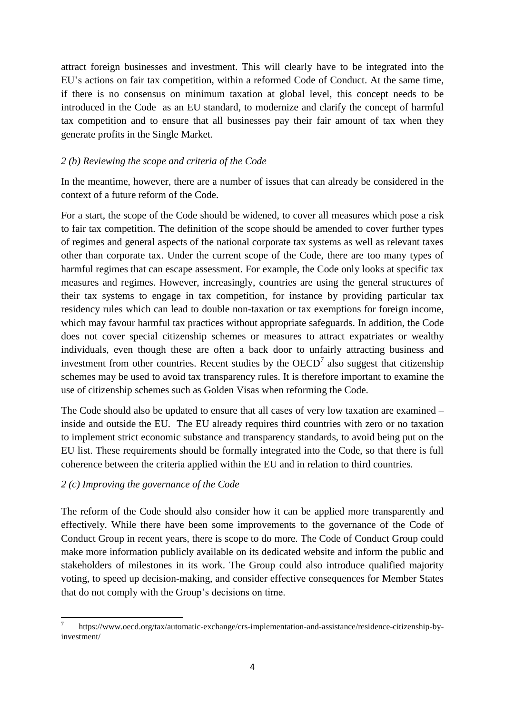attract foreign businesses and investment. This will clearly have to be integrated into the EU's actions on fair tax competition, within a reformed Code of Conduct. At the same time, if there is no consensus on minimum taxation at global level, this concept needs to be introduced in the Code as an EU standard, to modernize and clarify the concept of harmful tax competition and to ensure that all businesses pay their fair amount of tax when they generate profits in the Single Market.

# *2 (b) Reviewing the scope and criteria of the Code*

In the meantime, however, there are a number of issues that can already be considered in the context of a future reform of the Code.

For a start, the scope of the Code should be widened, to cover all measures which pose a risk to fair tax competition. The definition of the scope should be amended to cover further types of regimes and general aspects of the national corporate tax systems as well as relevant taxes other than corporate tax. Under the current scope of the Code, there are too many types of harmful regimes that can escape assessment. For example, the Code only looks at specific tax measures and regimes. However, increasingly, countries are using the general structures of their tax systems to engage in tax competition, for instance by providing particular tax residency rules which can lead to double non-taxation or tax exemptions for foreign income, which may favour harmful tax practices without appropriate safeguards. In addition, the Code does not cover special citizenship schemes or measures to attract expatriates or wealthy individuals, even though these are often a back door to unfairly attracting business and investment from other countries. Recent studies by the  $OECD<sup>7</sup>$  also suggest that citizenship schemes may be used to avoid tax transparency rules. It is therefore important to examine the use of citizenship schemes such as Golden Visas when reforming the Code.

The Code should also be updated to ensure that all cases of very low taxation are examined – inside and outside the EU. The EU already requires third countries with zero or no taxation to implement strict economic substance and transparency standards, to avoid being put on the EU list. These requirements should be formally integrated into the Code, so that there is full coherence between the criteria applied within the EU and in relation to third countries.

# *2 (c) Improving the governance of the Code*

The reform of the Code should also consider how it can be applied more transparently and effectively. While there have been some improvements to the governance of the Code of Conduct Group in recent years, there is scope to do more. The Code of Conduct Group could make more information publicly available on its dedicated website and inform the public and stakeholders of milestones in its work. The Group could also introduce qualified majority voting, to speed up decision-making, and consider effective consequences for Member States that do not comply with the Group's decisions on time.

**<sup>.</sup>** 7 https://www.oecd.org/tax/automatic-exchange/crs-implementation-and-assistance/residence-citizenship-byinvestment/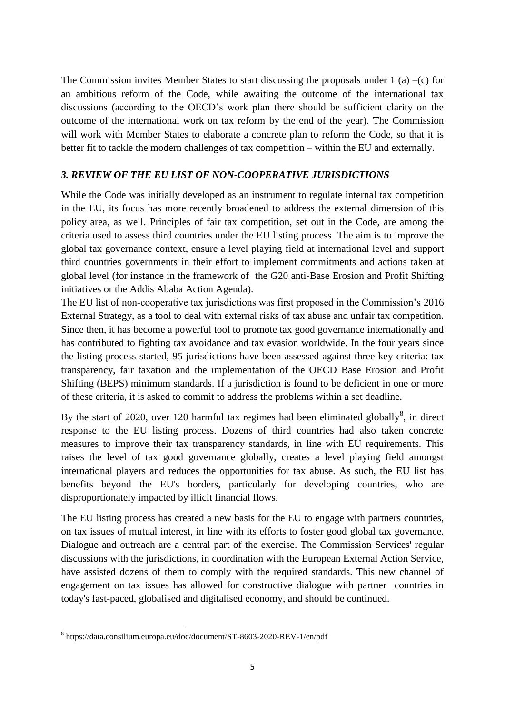The Commission invites Member States to start discussing the proposals under 1 (a) –(c) for an ambitious reform of the Code, while awaiting the outcome of the international tax discussions (according to the OECD's work plan there should be sufficient clarity on the outcome of the international work on tax reform by the end of the year). The Commission will work with Member States to elaborate a concrete plan to reform the Code, so that it is better fit to tackle the modern challenges of tax competition – within the EU and externally.

# *3. REVIEW OF THE EU LIST OF NON-COOPERATIVE JURISDICTIONS*

While the Code was initially developed as an instrument to regulate internal tax competition in the EU, its focus has more recently broadened to address the external dimension of this policy area, as well. Principles of fair tax competition, set out in the Code, are among the criteria used to assess third countries under the EU listing process. The aim is to improve the global tax governance context, ensure a level playing field at international level and support third countries governments in their effort to implement commitments and actions taken at global level (for instance in the framework of the G20 anti-Base Erosion and Profit Shifting initiatives or the Addis Ababa Action Agenda).

The EU list of non-cooperative tax jurisdictions was first proposed in the Commission's 2016 External Strategy, as a tool to deal with external risks of tax abuse and unfair tax competition. Since then, it has become a powerful tool to promote tax good governance internationally and has contributed to fighting tax avoidance and tax evasion worldwide. In the four years since the listing process started, 95 jurisdictions have been assessed against three key criteria: tax transparency, fair taxation and the implementation of the OECD Base Erosion and Profit Shifting (BEPS) minimum standards. If a jurisdiction is found to be deficient in one or more of these criteria, it is asked to commit to address the problems within a set deadline.

By the start of 2020, over 120 harmful tax regimes had been eliminated globally $\delta$ , in direct response to the EU listing process. Dozens of third countries had also taken concrete measures to improve their tax transparency standards, in line with EU requirements. This raises the level of tax good governance globally, creates a level playing field amongst international players and reduces the opportunities for tax abuse. As such, the EU list has benefits beyond the EU's borders, particularly for developing countries, who are disproportionately impacted by illicit financial flows.

The EU listing process has created a new basis for the EU to engage with partners countries, on tax issues of mutual interest, in line with its efforts to foster good global tax governance. Dialogue and outreach are a central part of the exercise. The Commission Services' regular discussions with the jurisdictions, in coordination with the European External Action Service, have assisted dozens of them to comply with the required standards. This new channel of engagement on tax issues has allowed for constructive dialogue with partner countries in today's fast-paced, globalised and digitalised economy, and should be continued.

**.** 

<sup>8</sup> https://data.consilium.europa.eu/doc/document/ST-8603-2020-REV-1/en/pdf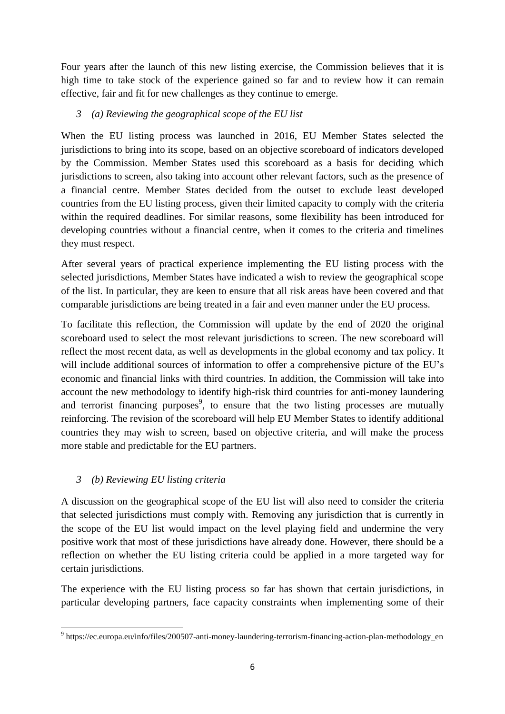Four years after the launch of this new listing exercise, the Commission believes that it is high time to take stock of the experience gained so far and to review how it can remain effective, fair and fit for new challenges as they continue to emerge.

# *3 (a) Reviewing the geographical scope of the EU list*

When the EU listing process was launched in 2016, EU Member States selected the jurisdictions to bring into its scope, based on an objective scoreboard of indicators developed by the Commission. Member States used this scoreboard as a basis for deciding which jurisdictions to screen, also taking into account other relevant factors, such as the presence of a financial centre. Member States decided from the outset to exclude least developed countries from the EU listing process, given their limited capacity to comply with the criteria within the required deadlines. For similar reasons, some flexibility has been introduced for developing countries without a financial centre, when it comes to the criteria and timelines they must respect.

After several years of practical experience implementing the EU listing process with the selected jurisdictions, Member States have indicated a wish to review the geographical scope of the list. In particular, they are keen to ensure that all risk areas have been covered and that comparable jurisdictions are being treated in a fair and even manner under the EU process.

To facilitate this reflection, the Commission will update by the end of 2020 the original scoreboard used to select the most relevant jurisdictions to screen. The new scoreboard will reflect the most recent data, as well as developments in the global economy and tax policy. It will include additional sources of information to offer a comprehensive picture of the EU's economic and financial links with third countries. In addition, the Commission will take into account the new methodology to identify high-risk third countries for anti-money laundering and terrorist financing purposes<sup>9</sup>, to ensure that the two listing processes are mutually reinforcing. The revision of the scoreboard will help EU Member States to identify additional countries they may wish to screen, based on objective criteria, and will make the process more stable and predictable for the EU partners.

# *3 (b) Reviewing EU listing criteria*

A discussion on the geographical scope of the EU list will also need to consider the criteria that selected jurisdictions must comply with. Removing any jurisdiction that is currently in the scope of the EU list would impact on the level playing field and undermine the very positive work that most of these jurisdictions have already done. However, there should be a reflection on whether the EU listing criteria could be applied in a more targeted way for certain jurisdictions.

The experience with the EU listing process so far has shown that certain jurisdictions, in particular developing partners, face capacity constraints when implementing some of their

**<sup>.</sup>** <sup>9</sup> https://ec.europa.eu/info/files/200507-anti-money-laundering-terrorism-financing-action-plan-methodology\_en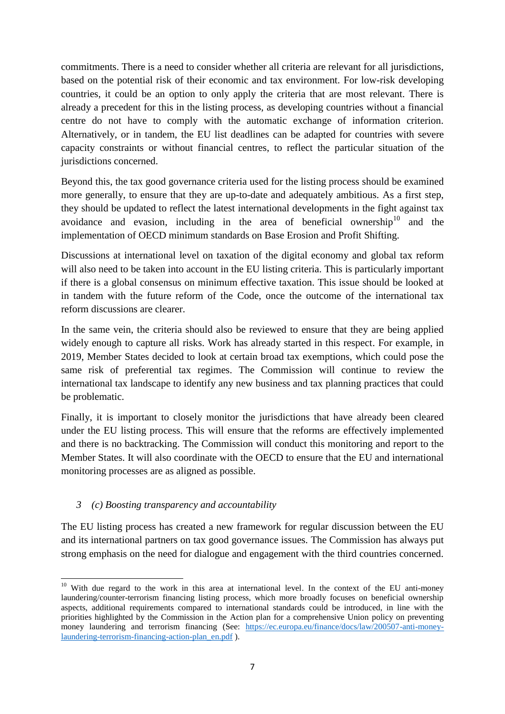commitments. There is a need to consider whether all criteria are relevant for all jurisdictions, based on the potential risk of their economic and tax environment. For low-risk developing countries, it could be an option to only apply the criteria that are most relevant. There is already a precedent for this in the listing process, as developing countries without a financial centre do not have to comply with the automatic exchange of information criterion. Alternatively, or in tandem, the EU list deadlines can be adapted for countries with severe capacity constraints or without financial centres, to reflect the particular situation of the jurisdictions concerned.

Beyond this, the tax good governance criteria used for the listing process should be examined more generally, to ensure that they are up-to-date and adequately ambitious. As a first step, they should be updated to reflect the latest international developments in the fight against tax avoidance and evasion, including in the area of beneficial ownership<sup>10</sup> and the implementation of OECD minimum standards on Base Erosion and Profit Shifting.

Discussions at international level on taxation of the digital economy and global tax reform will also need to be taken into account in the EU listing criteria. This is particularly important if there is a global consensus on minimum effective taxation. This issue should be looked at in tandem with the future reform of the Code, once the outcome of the international tax reform discussions are clearer.

In the same vein, the criteria should also be reviewed to ensure that they are being applied widely enough to capture all risks. Work has already started in this respect. For example, in 2019, Member States decided to look at certain broad tax exemptions, which could pose the same risk of preferential tax regimes. The Commission will continue to review the international tax landscape to identify any new business and tax planning practices that could be problematic.

Finally, it is important to closely monitor the jurisdictions that have already been cleared under the EU listing process. This will ensure that the reforms are effectively implemented and there is no backtracking. The Commission will conduct this monitoring and report to the Member States. It will also coordinate with the OECD to ensure that the EU and international monitoring processes are as aligned as possible.

# *3 (c) Boosting transparency and accountability*

The EU listing process has created a new framework for regular discussion between the EU and its international partners on tax good governance issues. The Commission has always put strong emphasis on the need for dialogue and engagement with the third countries concerned.

 $\overline{a}$  $10$  With due regard to the work in this area at international level. In the context of the EU anti-money laundering/counter-terrorism financing listing process, which more broadly focuses on beneficial ownership aspects, additional requirements compared to international standards could be introduced, in line with the priorities highlighted by the Commission in the Action plan for a comprehensive Union policy on preventing money laundering and terrorism financing (See: [https://ec.europa.eu/finance/docs/law/200507-anti-money](https://ec.europa.eu/finance/docs/law/200507-anti-money-laundering-terrorism-financing-action-plan_en.pdf)[laundering-terrorism-financing-action-plan\\_en.pdf](https://ec.europa.eu/finance/docs/law/200507-anti-money-laundering-terrorism-financing-action-plan_en.pdf) ).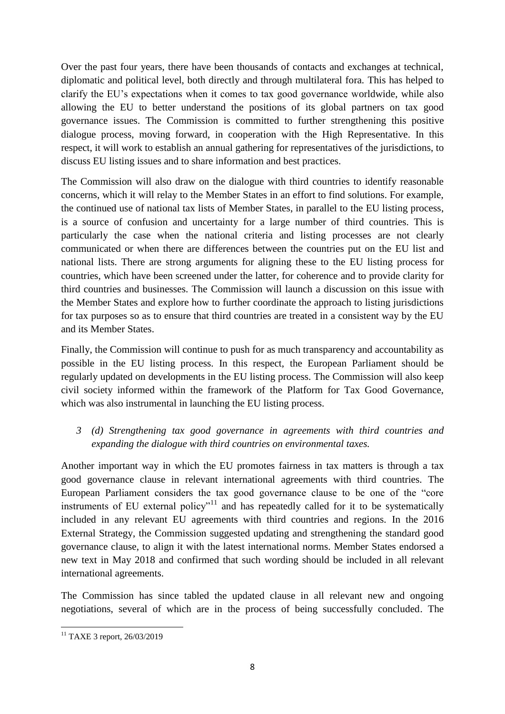Over the past four years, there have been thousands of contacts and exchanges at technical, diplomatic and political level, both directly and through multilateral fora. This has helped to clarify the EU's expectations when it comes to tax good governance worldwide, while also allowing the EU to better understand the positions of its global partners on tax good governance issues. The Commission is committed to further strengthening this positive dialogue process, moving forward, in cooperation with the High Representative. In this respect, it will work to establish an annual gathering for representatives of the jurisdictions, to discuss EU listing issues and to share information and best practices.

The Commission will also draw on the dialogue with third countries to identify reasonable concerns, which it will relay to the Member States in an effort to find solutions. For example, the continued use of national tax lists of Member States, in parallel to the EU listing process, is a source of confusion and uncertainty for a large number of third countries. This is particularly the case when the national criteria and listing processes are not clearly communicated or when there are differences between the countries put on the EU list and national lists. There are strong arguments for aligning these to the EU listing process for countries, which have been screened under the latter, for coherence and to provide clarity for third countries and businesses. The Commission will launch a discussion on this issue with the Member States and explore how to further coordinate the approach to listing jurisdictions for tax purposes so as to ensure that third countries are treated in a consistent way by the EU and its Member States.

Finally, the Commission will continue to push for as much transparency and accountability as possible in the EU listing process. In this respect, the European Parliament should be regularly updated on developments in the EU listing process. The Commission will also keep civil society informed within the framework of the Platform for Tax Good Governance, which was also instrumental in launching the EU listing process.

*3 (d) Strengthening tax good governance in agreements with third countries and expanding the dialogue with third countries on environmental taxes.*

Another important way in which the EU promotes fairness in tax matters is through a tax good governance clause in relevant international agreements with third countries. The European Parliament considers the tax good governance clause to be one of the "core instruments of EU external policy<sup> $n+1$ </sup> and has repeatedly called for it to be systematically included in any relevant EU agreements with third countries and regions. In the 2016 External Strategy, the Commission suggested updating and strengthening the standard good governance clause, to align it with the latest international norms. Member States endorsed a new text in May 2018 and confirmed that such wording should be included in all relevant international agreements.

The Commission has since tabled the updated clause in all relevant new and ongoing negotiations, several of which are in the process of being successfully concluded. The

**<sup>.</sup>** <sup>11</sup> TAXE 3 report, 26/03/2019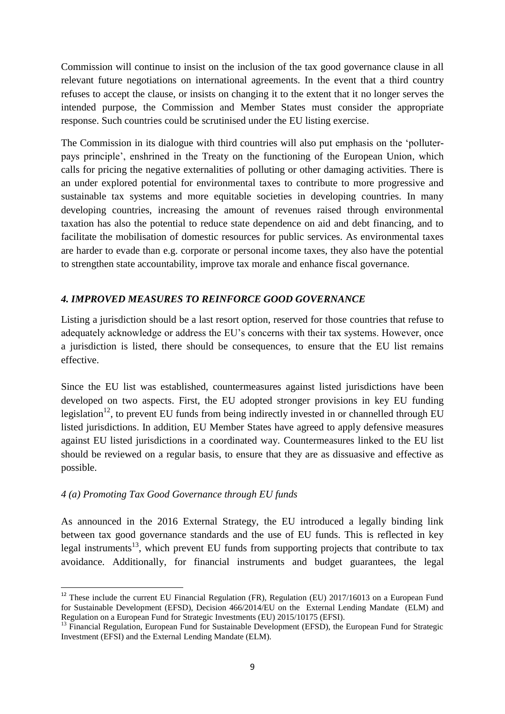Commission will continue to insist on the inclusion of the tax good governance clause in all relevant future negotiations on international agreements. In the event that a third country refuses to accept the clause, or insists on changing it to the extent that it no longer serves the intended purpose, the Commission and Member States must consider the appropriate response. Such countries could be scrutinised under the EU listing exercise.

The Commission in its dialogue with third countries will also put emphasis on the 'polluterpays principle', enshrined in the Treaty on the functioning of the European Union, which calls for pricing the negative externalities of polluting or other damaging activities. There is an under explored potential for environmental taxes to contribute to more progressive and sustainable tax systems and more equitable societies in developing countries. In many developing countries, increasing the amount of revenues raised through environmental taxation has also the potential to reduce state dependence on aid and debt financing, and to facilitate the mobilisation of domestic resources for public services. As environmental taxes are harder to evade than e.g. corporate or personal income taxes, they also have the potential to strengthen state accountability, improve tax morale and enhance fiscal governance.

# *4. IMPROVED MEASURES TO REINFORCE GOOD GOVERNANCE*

Listing a jurisdiction should be a last resort option, reserved for those countries that refuse to adequately acknowledge or address the EU's concerns with their tax systems. However, once a jurisdiction is listed, there should be consequences, to ensure that the EU list remains effective.

Since the EU list was established, countermeasures against listed jurisdictions have been developed on two aspects. First, the EU adopted stronger provisions in key EU funding legislation<sup>12</sup>, to prevent EU funds from being indirectly invested in or channelled through EU listed jurisdictions. In addition, EU Member States have agreed to apply defensive measures against EU listed jurisdictions in a coordinated way. Countermeasures linked to the EU list should be reviewed on a regular basis, to ensure that they are as dissuasive and effective as possible.

# *4 (a) Promoting Tax Good Governance through EU funds*

1

As announced in the 2016 External Strategy, the EU introduced a legally binding link between tax good governance standards and the use of EU funds. This is reflected in key legal instruments<sup>13</sup>, which prevent EU funds from supporting projects that contribute to tax avoidance. Additionally, for financial instruments and budget guarantees, the legal

 $12$  These include the current EU Financial Regulation (FR), Regulation (EU) 2017/16013 on a European Fund for Sustainable Development (EFSD), Decision 466/2014/EU on the External Lending Mandate (ELM) and Regulation on a European Fund for Strategic Investments (EU) 2015/10175 (EFSI).

<sup>&</sup>lt;sup>13</sup> Financial Regulation, European Fund for Sustainable Development (EFSD), the European Fund for Strategic Investment (EFSI) and the External Lending Mandate (ELM).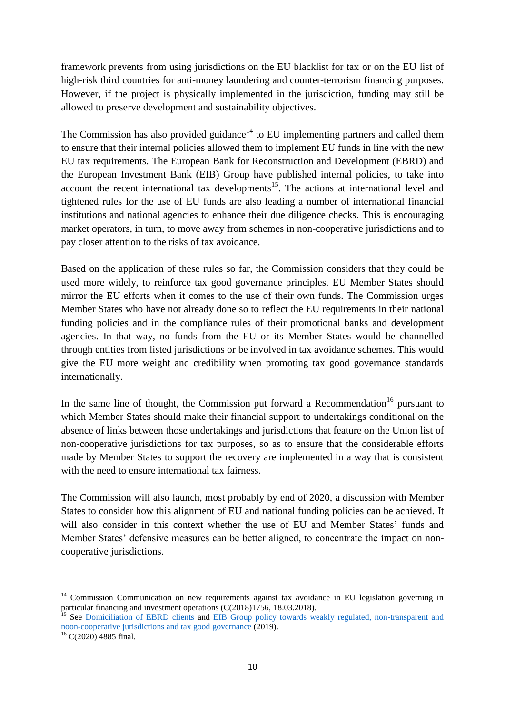framework prevents from using jurisdictions on the EU blacklist for tax or on the EU list of high-risk third countries for anti-money laundering and counter-terrorism financing purposes. However, if the project is physically implemented in the jurisdiction, funding may still be allowed to preserve development and sustainability objectives.

The Commission has also provided guidance<sup>14</sup> to EU implementing partners and called them to ensure that their internal policies allowed them to implement EU funds in line with the new EU tax requirements. The European Bank for Reconstruction and Development (EBRD) and the European Investment Bank (EIB) Group have published internal policies, to take into account the recent international tax developments<sup>15</sup>. The actions at international level and tightened rules for the use of EU funds are also leading a number of international financial institutions and national agencies to enhance their due diligence checks. This is encouraging market operators, in turn, to move away from schemes in non-cooperative jurisdictions and to pay closer attention to the risks of tax avoidance.

Based on the application of these rules so far, the Commission considers that they could be used more widely, to reinforce tax good governance principles. EU Member States should mirror the EU efforts when it comes to the use of their own funds. The Commission urges Member States who have not already done so to reflect the EU requirements in their national funding policies and in the compliance rules of their promotional banks and development agencies. In that way, no funds from the EU or its Member States would be channelled through entities from listed jurisdictions or be involved in tax avoidance schemes. This would give the EU more weight and credibility when promoting tax good governance standards internationally.

In the same line of thought, the Commission put forward a Recommendation<sup>16</sup> pursuant to which Member States should make their financial support to undertakings conditional on the absence of links between those undertakings and jurisdictions that feature on the Union list of non-cooperative jurisdictions for tax purposes, so as to ensure that the considerable efforts made by Member States to support the recovery are implemented in a way that is consistent with the need to ensure international tax fairness.

The Commission will also launch, most probably by end of 2020, a discussion with Member States to consider how this alignment of EU and national funding policies can be achieved. It will also consider in this context whether the use of EU and Member States' funds and Member States' defensive measures can be better aligned, to concentrate the impact on noncooperative jurisdictions.

1

<sup>&</sup>lt;sup>14</sup> Commission Communication on new requirements against tax avoidance in EU legislation governing in particular financing and investment operations (C(2018)1756, 18.03.2018).

<sup>&</sup>lt;sup>15</sup> See [Domiciliation of EBRD clients](https://www.ebrd.com/what-we-do/strategies-and-policies.html) and EIB Group policy towards weakly regulated, non-transparent and [noon-cooperative jurisdictions and tax good governance](https://www.eib.org/attachments/strategies/eib_group_ncj_policy_en.pdf) (2019).

 $16$  C(2020) 4885 final.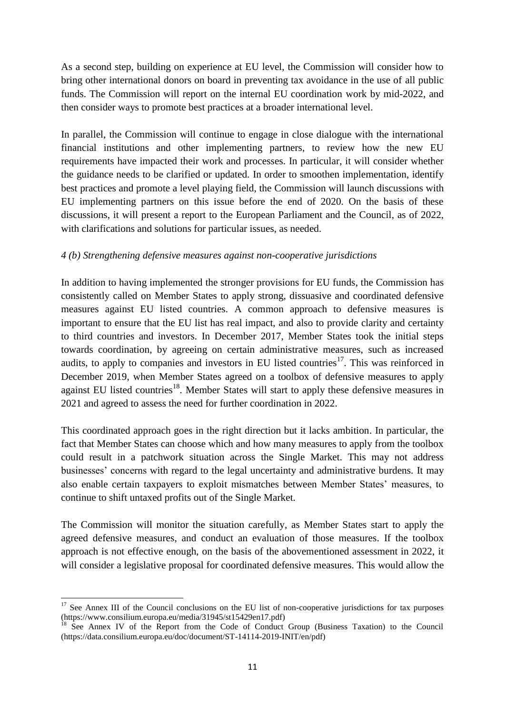As a second step, building on experience at EU level, the Commission will consider how to bring other international donors on board in preventing tax avoidance in the use of all public funds. The Commission will report on the internal EU coordination work by mid-2022, and then consider ways to promote best practices at a broader international level.

In parallel, the Commission will continue to engage in close dialogue with the international financial institutions and other implementing partners, to review how the new EU requirements have impacted their work and processes. In particular, it will consider whether the guidance needs to be clarified or updated. In order to smoothen implementation, identify best practices and promote a level playing field, the Commission will launch discussions with EU implementing partners on this issue before the end of 2020. On the basis of these discussions, it will present a report to the European Parliament and the Council, as of 2022, with clarifications and solutions for particular issues, as needed.

# *4 (b) Strengthening defensive measures against non-cooperative jurisdictions*

In addition to having implemented the stronger provisions for EU funds, the Commission has consistently called on Member States to apply strong, dissuasive and coordinated defensive measures against EU listed countries. A common approach to defensive measures is important to ensure that the EU list has real impact, and also to provide clarity and certainty to third countries and investors. In December 2017, Member States took the initial steps towards coordination, by agreeing on certain administrative measures, such as increased audits, to apply to companies and investors in EU listed countries<sup>17</sup>. This was reinforced in December 2019, when Member States agreed on a toolbox of defensive measures to apply against EU listed countries<sup>18</sup>. Member States will start to apply these defensive measures in 2021 and agreed to assess the need for further coordination in 2022.

This coordinated approach goes in the right direction but it lacks ambition. In particular, the fact that Member States can choose which and how many measures to apply from the toolbox could result in a patchwork situation across the Single Market. This may not address businesses' concerns with regard to the legal uncertainty and administrative burdens. It may also enable certain taxpayers to exploit mismatches between Member States' measures, to continue to shift untaxed profits out of the Single Market.

The Commission will monitor the situation carefully, as Member States start to apply the agreed defensive measures, and conduct an evaluation of those measures. If the toolbox approach is not effective enough, on the basis of the abovementioned assessment in 2022, it will consider a legislative proposal for coordinated defensive measures. This would allow the

**.** 

<sup>&</sup>lt;sup>17</sup> See Annex III of the Council conclusions on the EU list of non-cooperative jurisdictions for tax purposes (https://www.consilium.europa.eu/media/31945/st15429en17.pdf)

<sup>&</sup>lt;sup>18</sup> See Annex IV of the Report from the Code of Conduct Group (Business Taxation) to the Council (https://data.consilium.europa.eu/doc/document/ST-14114-2019-INIT/en/pdf)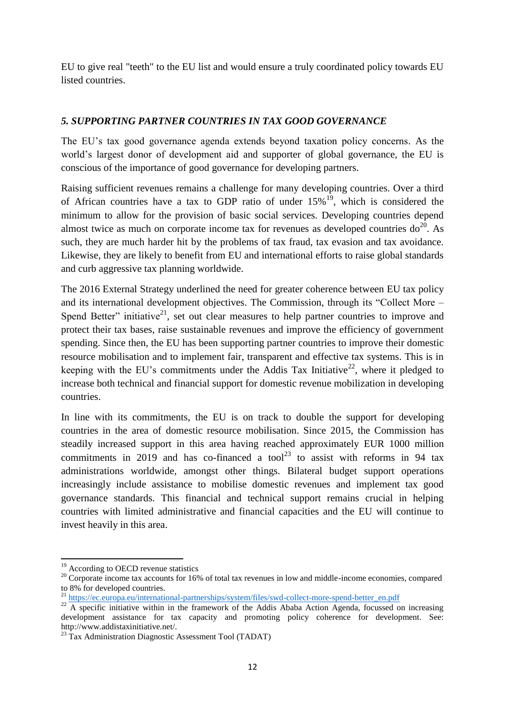EU to give real "teeth" to the EU list and would ensure a truly coordinated policy towards EU listed countries.

# *5. SUPPORTING PARTNER COUNTRIES IN TAX GOOD GOVERNANCE*

The EU's tax good governance agenda extends beyond taxation policy concerns. As the world's largest donor of development aid and supporter of global governance, the EU is conscious of the importance of good governance for developing partners.

Raising sufficient revenues remains a challenge for many developing countries. Over a third of African countries have a tax to GDP ratio of under  $15\%$ <sup>19</sup>, which is considered the minimum to allow for the provision of basic social services. Developing countries depend almost twice as much on corporate income tax for revenues as developed countries  $do^{20}$ . As such, they are much harder hit by the problems of tax fraud, tax evasion and tax avoidance. Likewise, they are likely to benefit from EU and international efforts to raise global standards and curb aggressive tax planning worldwide.

The 2016 External Strategy underlined the need for greater coherence between EU tax policy and its international development objectives. The Commission, through its "Collect More – Spend Better" initiative<sup>21</sup>, set out clear measures to help partner countries to improve and protect their tax bases, raise sustainable revenues and improve the efficiency of government spending. Since then, the EU has been supporting partner countries to improve their domestic resource mobilisation and to implement fair, transparent and effective tax systems. This is in keeping with the EU's commitments under the Addis Tax Initiative<sup>22</sup>, where it pledged to increase both technical and financial support for domestic revenue mobilization in developing countries.

In line with its commitments, the EU is on track to double the support for developing countries in the area of domestic resource mobilisation. Since 2015, the Commission has steadily increased support in this area having reached approximately EUR 1000 million commitments in 2019 and has co-financed a tool<sup>23</sup> to assist with reforms in 94 tax administrations worldwide, amongst other things. Bilateral budget support operations increasingly include assistance to mobilise domestic revenues and implement tax good governance standards. This financial and technical support remains crucial in helping countries with limited administrative and financial capacities and the EU will continue to invest heavily in this area.

**.** 

<sup>&</sup>lt;sup>19</sup> According to OECD revenue statistics

<sup>&</sup>lt;sup>20</sup> Corporate income tax accounts for 16% of total tax revenues in low and middle-income economies, compared to 8% for developed countries.

<sup>&</sup>lt;sup>21</sup> https://ec.europa.eu/international-partnerships/system/files/swd-collect-more-spend-better\_en.pdf

<sup>&</sup>lt;sup>22</sup> A specific initiative within in the framework of the Addis Ababa Action Agenda, focussed on increasing development assistance for tax capacity and promoting policy coherence for development. See: http://www.addistaxinitiative.net/.

 $^{23}$  Tax Administration Diagnostic Assessment Tool (TADAT)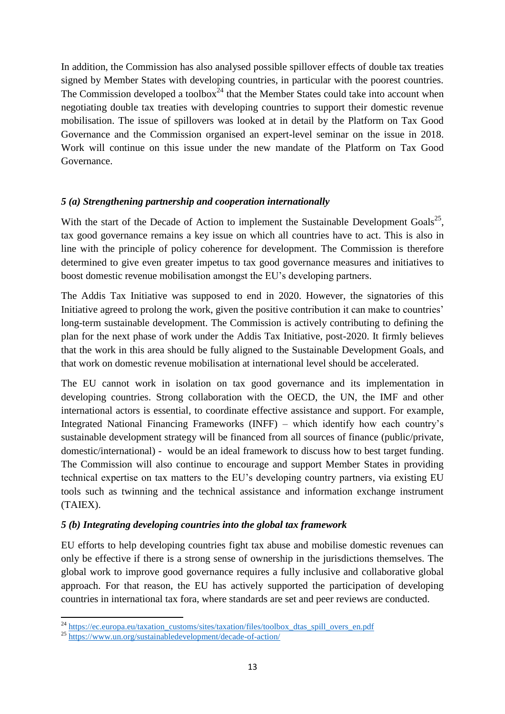In addition, the Commission has also analysed possible spillover effects of double tax treaties signed by Member States with developing countries, in particular with the poorest countries. The Commission developed a toolbox<sup>24</sup> that the Member States could take into account when negotiating double tax treaties with developing countries to support their domestic revenue mobilisation. The issue of spillovers was looked at in detail by the Platform on Tax Good Governance and the Commission organised an expert-level seminar on the issue in 2018. Work will continue on this issue under the new mandate of the Platform on Tax Good Governance.

# *5 (a) Strengthening partnership and cooperation internationally*

With the start of the Decade of Action to implement the Sustainable Development Goals<sup>25</sup>, tax good governance remains a key issue on which all countries have to act. This is also in line with the principle of policy coherence for development. The Commission is therefore determined to give even greater impetus to tax good governance measures and initiatives to boost domestic revenue mobilisation amongst the EU's developing partners.

The Addis Tax Initiative was supposed to end in 2020. However, the signatories of this Initiative agreed to prolong the work, given the positive contribution it can make to countries' long-term sustainable development. The Commission is actively contributing to defining the plan for the next phase of work under the Addis Tax Initiative, post-2020. It firmly believes that the work in this area should be fully aligned to the Sustainable Development Goals, and that work on domestic revenue mobilisation at international level should be accelerated.

The EU cannot work in isolation on tax good governance and its implementation in developing countries. Strong collaboration with the OECD, the UN, the IMF and other international actors is essential, to coordinate effective assistance and support. For example, Integrated National Financing Frameworks (INFF) – which identify how each country's sustainable development strategy will be financed from all sources of finance (public/private, domestic/international) - would be an ideal framework to discuss how to best target funding. The Commission will also continue to encourage and support Member States in providing technical expertise on tax matters to the EU's developing country partners, via existing EU tools such as twinning and the technical assistance and information exchange instrument (TAIEX).

# *5 (b) Integrating developing countries into the global tax framework*

EU efforts to help developing countries fight tax abuse and mobilise domestic revenues can only be effective if there is a strong sense of ownership in the jurisdictions themselves. The global work to improve good governance requires a fully inclusive and collaborative global approach. For that reason, the EU has actively supported the participation of developing countries in international tax fora, where standards are set and peer reviews are conducted.

**<sup>.</sup>** <sup>24</sup> https://ec.europa.eu/taxation\_customs/sites/taxation/files/toolbox\_dtas\_spill\_overs\_en.pdf

<sup>25</sup> <https://www.un.org/sustainabledevelopment/decade-of-action/>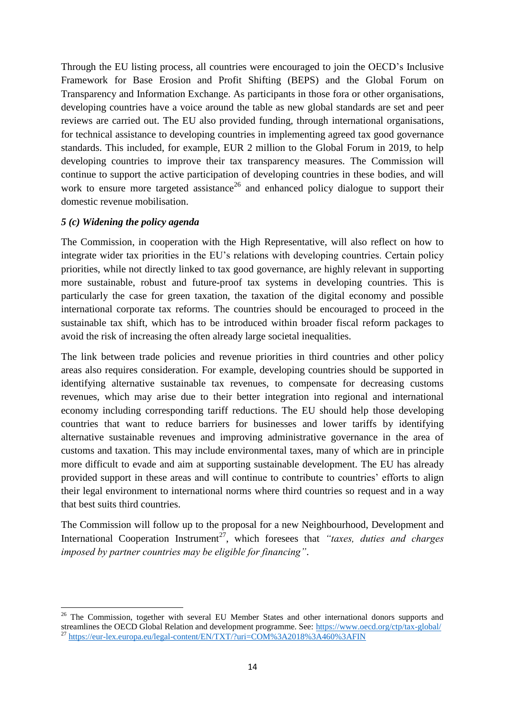Through the EU listing process, all countries were encouraged to join the OECD's Inclusive Framework for Base Erosion and Profit Shifting (BEPS) and the Global Forum on Transparency and Information Exchange. As participants in those fora or other organisations, developing countries have a voice around the table as new global standards are set and peer reviews are carried out. The EU also provided funding, through international organisations, for technical assistance to developing countries in implementing agreed tax good governance standards. This included, for example, EUR 2 million to the Global Forum in 2019, to help developing countries to improve their tax transparency measures. The Commission will continue to support the active participation of developing countries in these bodies, and will work to ensure more targeted assistance<sup>26</sup> and enhanced policy dialogue to support their domestic revenue mobilisation.

### *5 (c) Widening the policy agenda*

**.** 

The Commission, in cooperation with the High Representative, will also reflect on how to integrate wider tax priorities in the EU's relations with developing countries. Certain policy priorities, while not directly linked to tax good governance, are highly relevant in supporting more sustainable, robust and future-proof tax systems in developing countries. This is particularly the case for green taxation, the taxation of the digital economy and possible international corporate tax reforms. The countries should be encouraged to proceed in the sustainable tax shift, which has to be introduced within broader fiscal reform packages to avoid the risk of increasing the often already large societal inequalities.

The link between trade policies and revenue priorities in third countries and other policy areas also requires consideration. For example, developing countries should be supported in identifying alternative sustainable tax revenues, to compensate for decreasing customs revenues, which may arise due to their better integration into regional and international economy including corresponding tariff reductions. The EU should help those developing countries that want to reduce barriers for businesses and lower tariffs by identifying alternative sustainable revenues and improving administrative governance in the area of customs and taxation. This may include environmental taxes, many of which are in principle more difficult to evade and aim at supporting sustainable development. The EU has already provided support in these areas and will continue to contribute to countries' efforts to align their legal environment to international norms where third countries so request and in a way that best suits third countries.

The Commission will follow up to the proposal for a new Neighbourhood, Development and International Cooperation Instrument<sup>27</sup>, which foresees that *"taxes, duties and charges imposed by partner countries may be eligible for financing"*.

<sup>&</sup>lt;sup>26</sup> The Commission, together with several EU Member States and other international donors supports and streamlines the OECD Global Relation and development programme. See:<https://www.oecd.org/ctp/tax-global/> <sup>27</sup> <https://eur-lex.europa.eu/legal-content/EN/TXT/?uri=COM%3A2018%3A460%3AFIN>